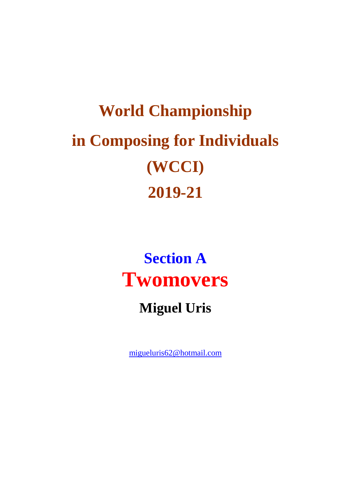# **World Championship in Composing for Individuals (WCCI) 2019-21**

## **Section A Twomovers**

#### **Miguel Uris**

[migueluris62@hotmail.com](mailto:migueluris62@hotmail.com)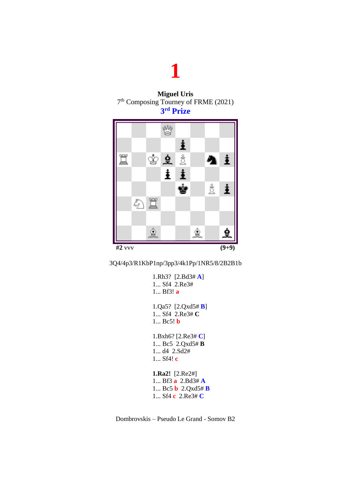



3Q4/4p3/R1KbP1np/3pp3/4k1Pp/1NR5/8/2B2B1b

```
1.Rh3? [2.Bd3# A]
1... Sf4 2.Re3#
1... Bf3! a
1.Qa5? [2.Qxd5# B]
1... Sf4 2.Re3# C
1... Bc5! b
1.Bxh6? [2.Re3# C]
1... Bc5 2.Qxd5# B
1... d4 2.Sd2#
1... Sf4! c
1.Ra2! [2.Re2#]
1... Bf3 a 2.Bd3# A
1... Bc5 b 2.Qxd5# B
1... Sf4 c 2.Re3# C
```
Dombrovskis – Pseudo Le Grand - Somov B2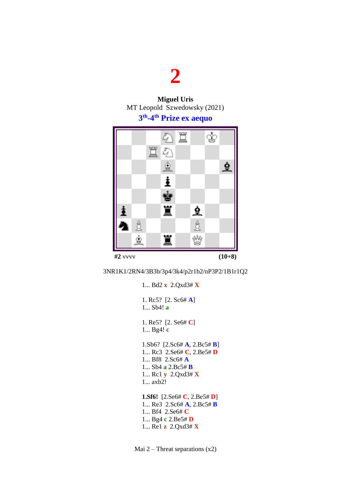**Miguel Uris** MT Leopold Szwedowsky (2021)

#### **3 th -4 th Prize ex aequo**



3NR1K1/2RN4/3B3b/3p4/3k4/p2r1b2/nP3P2/1B1r1Q2

1... Bd2 **x** 2.Qxd3# **X** 1. Rc5? [2. Sc6# **A**] 1... Sb4! **a** 1. Re5? [2. Se6# **C**] 1... Bg4! **c** 1.Sb6? [2.Sc6# **A**, 2.Bc5# **B**] 1... Rc3 2.Se6# **C**, 2.Be5# **D** 1... Bf8 2.Sc6# **A** 1... Sb4 **a** 2.Bc5# **B** 1... Rc1 **y** 2.Qxd3# **X** 1... axb2! **1.Sf6!** [2.Se6# **C**, 2.Be5# **D**] 1... Re3 2.Sc6# **A**, 2.Bc5# **B** 1... Bf4 2.Se6# **C** 1... Bg4 **c** 2.Be5# **D** 1... Re1 **z** 2.Qxd3# **X**

Mai 2 – Threat separations  $(x2)$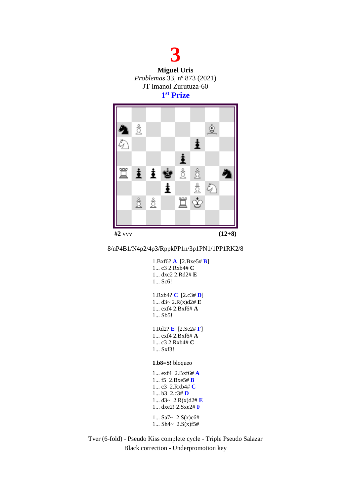



#### 8/nP4B1/N4p2/4p3/RppkPP1n/3p1PN1/1PP1RK2/8

| 1.Bxf6? $\bf{A}$ [2.Bxe5# $\bf{B}$ ]<br>1 $c3$ 2.Rxb4# $C$<br>1 dxc2 2.Rd2# E<br>$1$ Sc <sub>6</sub> !                                   |
|------------------------------------------------------------------------------------------------------------------------------------------|
| 1.Rxb4? $C$ [2.c3# D]<br>1 $d3 \sim 2.R(x)d2# E$<br>1 exf4 2.Bxf6# $\bf{A}$<br>1 Sb5!                                                    |
| 1.Rd2? <b>E</b> $[2.Se2# F]$<br>1 $exf4 2.Bxf6# A$<br>1 c3 2.Rxb4# <b>C</b><br>1 Sxf3!                                                   |
| $1.b8=S!$ bloqueo                                                                                                                        |
| 1 exf4 2.Bxf6# $\bf{A}$<br>1 $f5$ 2.Bxe5# B<br>1 c3 2.Rxb4# $C$<br>1 b3 2.c3# $\bf{D}$<br>1 $d3 \sim 2.R(x)d2\#E$<br>1 $dxe2! 2.Sxe2# F$ |
| $1$ Sa7~ $2.S(x)c6#$<br>1 Sh4~ $2.S(x)$ f5#                                                                                              |

Tver (6-fold) - Pseudo Kiss complete cycle - Triple Pseudo Salazar Black correction - Underpromotion key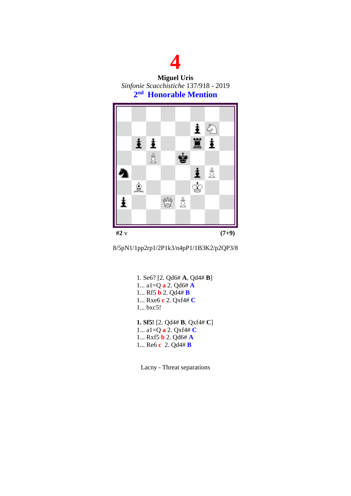

**Miguel Uris** *Sinfonie Scacchistiche* 137/918 - 2019 **2 nd Honorable Mention**





1. Se6? [2. Qd6# **A**, Qd4# **B**] 1... a1=Q **a** 2. Qd6# **A** 1... Rf5 **b** 2. Qd4# **B** 1... Rxe6 **c** 2. Qxf4# **C** 1... bxc5! **1. Sf5!** [2. Qd4# **B**, Qxf4# **C**] 1... a1=Q **a** 2. Qxf4# **C** 1... Rxf5 **b** 2. Qd6# **A** 1... Re6 **c** 2. Qd4# **B**

Lacny - Threat separations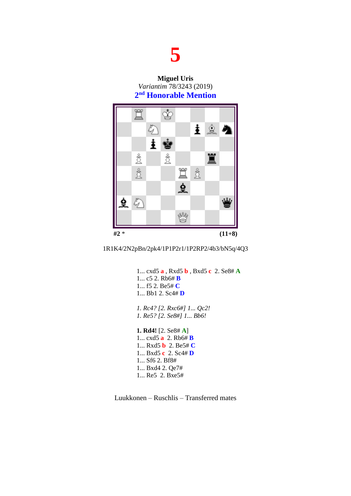**Miguel Uris** *Variantim* 78/3243 (2019) **2 nd Honorable Mention**





1... cxd5 **a** , Rxd5 **b** , Bxd5 **c** 2. Se8# **A** 1... c5 2. Rb6# **B** 1... f5 2. Be5# **C** 1... Bb1 2. Sc4# **D** *1. Rc4? [2. Rxc6#] 1... Qc2! 1. Re5? [2. Se8#] 1... Bb6!* **1. Rd4!** [2. Se8# **A**] 1... cxd5 **a** 2. Rb6# **B** 1... Rxd5 **b** 2. Be5# **C** 1... Bxd5 **c** 2. Sc4# **D** 1... Sf6 2. Bf8# 1... Bxd4 2. Qe7# 1... Re5 2. Bxe5#

Luukkonen – Ruschlis – Transferred mates